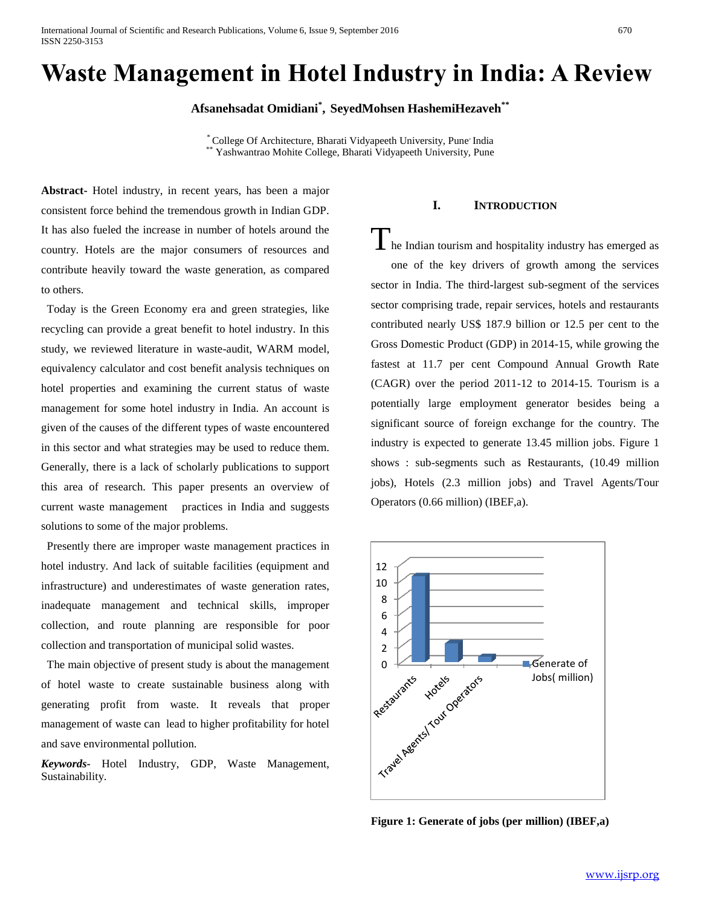International Journal of Scientific and Research Publications, Volume 6, Issue 9, September 2016 670 ISSN 2250-3153

# **Waste Management in Hotel Industry in India: A Review**

**Afsanehsadat Omidiani\* , SeyedMohsen HashemiHezaveh\*\***

\* College Of Architecture, Bharati Vidyapeeth University, Pune, India Yashwantrao Mohite College, Bharati Vidyapeeth University, Pune

**Abstract-** Hotel industry, in recent years, has been a major consistent force behind the tremendous growth in Indian GDP. It has also fueled the increase in number of hotels around the country. Hotels are the major consumers of resources and contribute heavily toward the waste generation, as compared to others.

 Today is the Green Economy era and green strategies, like recycling can provide a great benefit to hotel industry. In this study, we reviewed literature in waste-audit, WARM model, equivalency calculator and cost benefit analysis techniques on hotel properties and examining the current status of waste management for some hotel industry in India. An account is given of the causes of the different types of waste encountered in this sector and what strategies may be used to reduce them. Generally, there is a lack of scholarly publications to support this area of research. This paper presents an overview of current waste management practices in India and suggests solutions to some of the major problems.

 Presently there are improper waste management practices in hotel industry. And lack of suitable facilities (equipment and infrastructure) and underestimates of waste generation rates, inadequate management and technical skills, improper collection, and route planning are responsible for poor collection and transportation of municipal solid wastes.

 The main objective of present study is about the management of hotel waste to create sustainable business along with generating profit from waste. It reveals that proper management of waste can lead to higher profitability for hotel and save environmental pollution.

*Keywords***-** Hotel Industry, GDP, Waste Management, Sustainability.

# **I. INTRODUCTION**

 $\prod$ he Indian tourism and hospitality industry has emerged as one of the key drivers of growth among the services sector in India. The third-largest sub-segment of the services sector comprising trade, repair services, hotels and restaurants contributed nearly US\$ 187.9 billion or 12.5 per cent to the Gross Domestic Product (GDP) in 2014-15, while growing the fastest at 11.7 per cent Compound Annual Growth Rate (CAGR) over the period 2011-12 to 2014-15. Tourism is a potentially large employment generator besides being a significant source of foreign exchange for the country. The industry is expected to generate 13.45 million jobs. Figure 1 shows : sub-segments such as Restaurants, (10.49 million jobs), Hotels (2.3 million jobs) and Travel Agents/Tour Operators (0.66 million) (IBEF,a).



**Figure 1: Generate of jobs (per million) (IBEF,a)**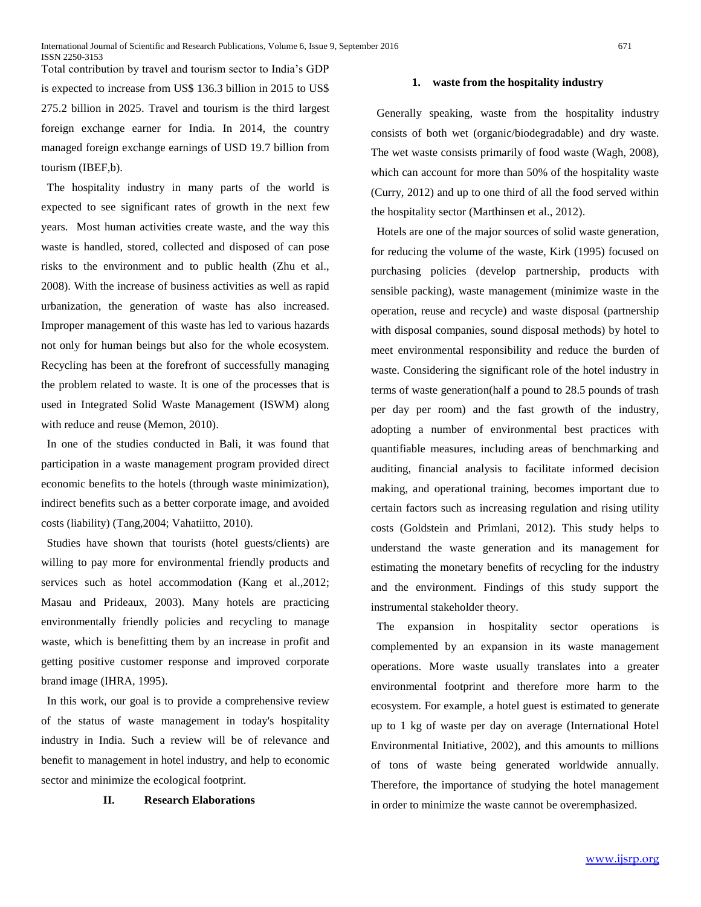Total contribution by travel and tourism sector to India's GDP is expected to increase from US\$ 136.3 billion in 2015 to US\$ 275.2 billion in 2025. Travel and tourism is the third largest foreign exchange earner for India. In 2014, the country managed foreign exchange earnings of USD 19.7 billion from tourism (IBEF,b).

 The hospitality industry in many parts of the world is expected to see significant rates of growth in the next few years. Most human activities create waste, and the way this waste is handled, stored, collected and disposed of can pose risks to the environment and to public health (Zhu et al., 2008). With the increase of business activities as well as rapid urbanization, the generation of waste has also increased. Improper management of this waste has led to various hazards not only for human beings but also for the whole ecosystem. Recycling has been at the forefront of successfully managing the problem related to waste. It is one of the processes that is used in Integrated Solid Waste Management (ISWM) along with reduce and reuse (Memon, 2010).

 In one of the studies conducted in Bali, it was found that participation in a waste management program provided direct economic benefits to the hotels (through waste minimization), indirect benefits such as a better corporate image, and avoided costs (liability) (Tang,2004; Vahatiitto, 2010).

 Studies have shown that tourists (hotel guests/clients) are willing to pay more for environmental friendly products and services such as hotel accommodation (Kang et al.,2012; Masau and Prideaux, 2003). Many hotels are practicing environmentally friendly policies and recycling to manage waste, which is benefitting them by an increase in profit and getting positive customer response and improved corporate brand image (IHRA, 1995).

 In this work, our goal is to provide a comprehensive review of the status of waste management in today's hospitality industry in India. Such a review will be of relevance and benefit to management in hotel industry, and help to economic sector and minimize the ecological footprint.

# **II. Research Elaborations**

### **1. waste from the hospitality industry**

 Generally speaking, waste from the hospitality industry consists of both wet (organic/biodegradable) and dry waste. The wet waste consists primarily of food waste (Wagh, 2008), which can account for more than 50% of the hospitality waste (Curry, 2012) and up to one third of all the food served within the hospitality sector (Marthinsen et al., 2012).

 Hotels are one of the major sources of solid waste generation, for reducing the volume of the waste, Kirk (1995) focused on purchasing policies (develop partnership, products with sensible packing), waste management (minimize waste in the operation, reuse and recycle) and waste disposal (partnership with disposal companies, sound disposal methods) by hotel to meet environmental responsibility and reduce the burden of waste. Considering the significant role of the hotel industry in terms of waste generation(half a pound to 28.5 pounds of trash per day per room) and the fast growth of the industry, adopting a number of environmental best practices with quantifiable measures, including areas of benchmarking and auditing, financial analysis to facilitate informed decision making, and operational training, becomes important due to certain factors such as increasing regulation and rising utility costs (Goldstein and Primlani, 2012). This study helps to understand the waste generation and its management for estimating the monetary benefits of recycling for the industry and the environment. Findings of this study support the instrumental stakeholder theory.

 The expansion in hospitality sector operations is complemented by an expansion in its waste management operations. More waste usually translates into a greater environmental footprint and therefore more harm to the ecosystem. For example, a hotel guest is estimated to generate up to 1 kg of waste per day on average (International Hotel Environmental Initiative, 2002), and this amounts to millions of tons of waste being generated worldwide annually. Therefore, the importance of studying the hotel management in order to minimize the waste cannot be overemphasized.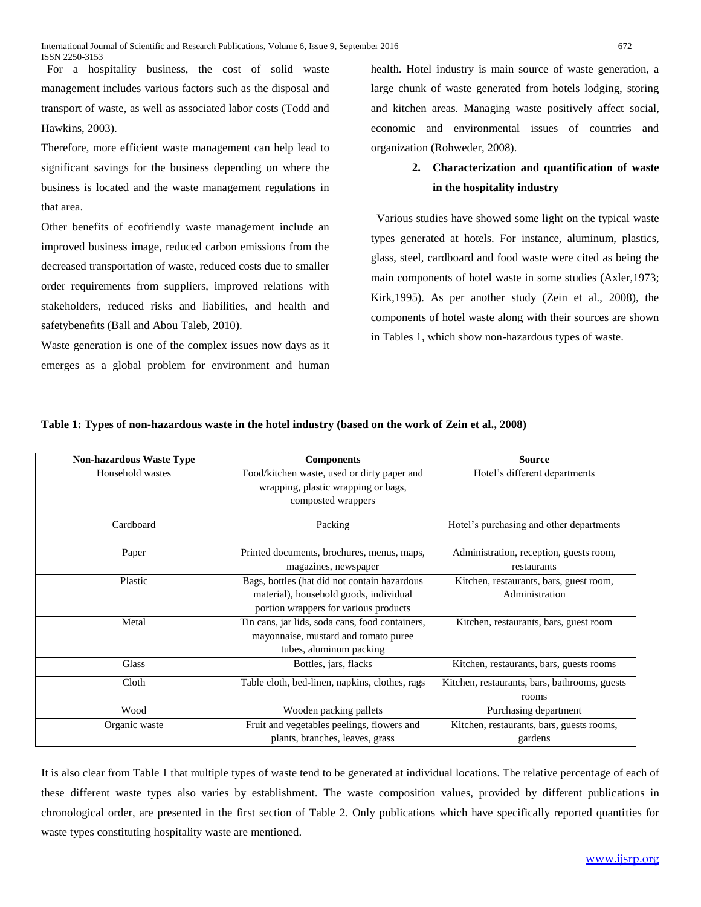For a hospitality business, the cost of solid waste management includes various factors such as the disposal and transport of waste, as well as associated labor costs (Todd and Hawkins, 2003).

Therefore, more efficient waste management can help lead to significant savings for the business depending on where the business is located and the waste management regulations in that area.

Other benefits of ecofriendly waste management include an improved business image, reduced carbon emissions from the decreased transportation of waste, reduced costs due to smaller order requirements from suppliers, improved relations with stakeholders, reduced risks and liabilities, and health and safetybenefits (Ball and Abou Taleb, 2010).

Waste generation is one of the complex issues now days as it emerges as a global problem for environment and human health. Hotel industry is main source of waste generation, a large chunk of waste generated from hotels lodging, storing and kitchen areas. Managing waste positively affect social, economic and environmental issues of countries and organization (Rohweder, 2008).

# **2. Characterization and quantification of waste in the hospitality industry**

 Various studies have showed some light on the typical waste types generated at hotels. For instance, aluminum, plastics, glass, steel, cardboard and food waste were cited as being the main components of hotel waste in some studies (Axler,1973; Kirk,1995). As per another study (Zein et al., 2008), the components of hotel waste along with their sources are shown in Tables 1, which show non-hazardous types of waste.

| <b>Non-hazardous Waste Type</b> | <b>Components</b>                                                                                                                | <b>Source</b>                                             |
|---------------------------------|----------------------------------------------------------------------------------------------------------------------------------|-----------------------------------------------------------|
| Household wastes                | Food/kitchen waste, used or dirty paper and<br>wrapping, plastic wrapping or bags,<br>composted wrappers                         | Hotel's different departments                             |
| Cardboard                       | Packing                                                                                                                          | Hotel's purchasing and other departments                  |
| Paper                           | Printed documents, brochures, menus, maps,<br>magazines, newspaper                                                               | Administration, reception, guests room,<br>restaurants    |
| Plastic                         | Bags, bottles (hat did not contain hazardous)<br>material), household goods, individual<br>portion wrappers for various products | Kitchen, restaurants, bars, guest room,<br>Administration |
| Metal                           | Tin cans, jar lids, soda cans, food containers,<br>mayonnaise, mustard and tomato puree<br>tubes, aluminum packing               | Kitchen, restaurants, bars, guest room                    |
| Glass                           | Bottles, jars, flacks                                                                                                            | Kitchen, restaurants, bars, guests rooms                  |
| Cloth                           | Table cloth, bed-linen, napkins, clothes, rags                                                                                   | Kitchen, restaurants, bars, bathrooms, guests<br>rooms    |
| Wood                            | Wooden packing pallets                                                                                                           | Purchasing department                                     |
| Organic waste                   | Fruit and vegetables peelings, flowers and<br>plants, branches, leaves, grass                                                    | Kitchen, restaurants, bars, guests rooms,<br>gardens      |

# **Table 1: Types of non-hazardous waste in the hotel industry (based on the work of Zein et al., 2008)**

It is also clear from Table 1 that multiple types of waste tend to be generated at individual locations. The relative percentage of each of these different waste types also varies by establishment. The waste composition values, provided by different publications in chronological order, are presented in the first section of Table 2. Only publications which have specifically reported quantities for waste types constituting hospitality waste are mentioned.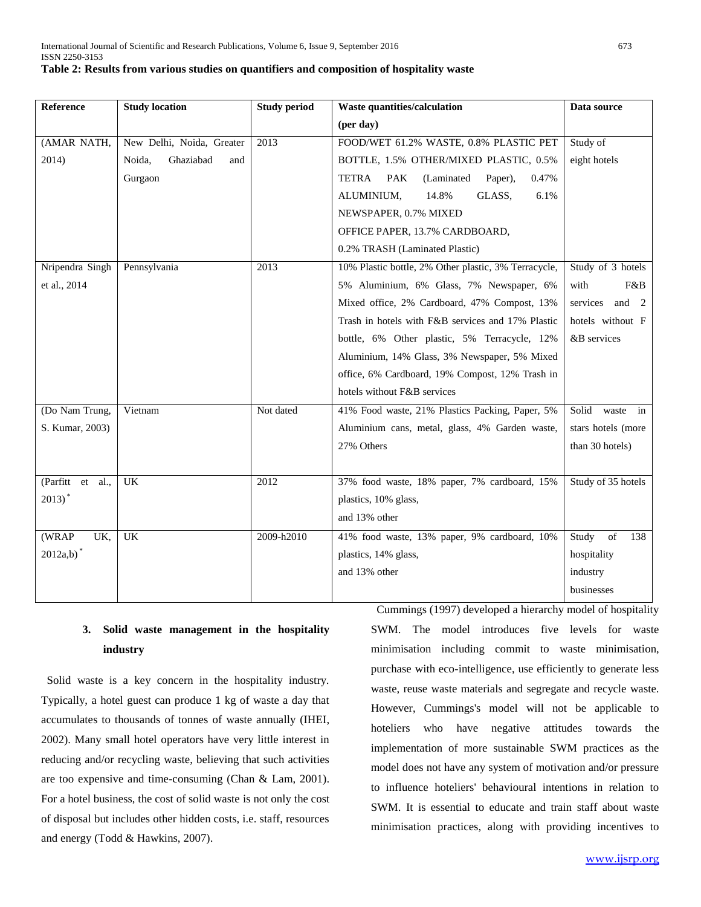| Reference               | <b>Study location</b>      | <b>Study period</b> | Waste quantities/calculation                          | Data source          |
|-------------------------|----------------------------|---------------------|-------------------------------------------------------|----------------------|
|                         |                            |                     | (per day)                                             |                      |
| (AMAR NATH,             | New Delhi, Noida, Greater  | 2013                | FOOD/WET 61.2% WASTE, 0.8% PLASTIC PET                | Study of             |
| 2014)                   | Ghaziabad<br>Noida,<br>and |                     | BOTTLE, 1.5% OTHER/MIXED PLASTIC, 0.5%                | eight hotels         |
|                         | Gurgaon                    |                     | TETRA<br><b>PAK</b><br>(Laminated<br>0.47%<br>Paper), |                      |
|                         |                            |                     | ALUMINIUM,<br>14.8%<br>GLASS,<br>6.1%                 |                      |
|                         |                            |                     | NEWSPAPER, 0.7% MIXED                                 |                      |
|                         |                            |                     | OFFICE PAPER, 13.7% CARDBOARD,                        |                      |
|                         |                            |                     | 0.2% TRASH (Laminated Plastic)                        |                      |
| Nripendra Singh         | Pennsylvania               | 2013                | 10% Plastic bottle, 2% Other plastic, 3% Terracycle,  | Study of 3 hotels    |
| et al., 2014            |                            |                     | 5% Aluminium, 6% Glass, 7% Newspaper, 6%              | with<br>F&B          |
|                         |                            |                     | Mixed office, 2% Cardboard, 47% Compost, 13%          | services and 2       |
|                         |                            |                     | Trash in hotels with F&B services and 17% Plastic     | hotels without F     |
|                         |                            |                     | bottle, 6% Other plastic, 5% Terracycle, 12%          | &B services          |
|                         |                            |                     | Aluminium, 14% Glass, 3% Newspaper, 5% Mixed          |                      |
|                         |                            |                     | office, 6% Cardboard, 19% Compost, 12% Trash in       |                      |
|                         |                            |                     | hotels without F&B services                           |                      |
| (Do Nam Trung,          | Vietnam                    | Not dated           | 41% Food waste, 21% Plastics Packing, Paper, 5%       | Solid<br>waste<br>in |
| S. Kumar, 2003)         |                            |                     | Aluminium cans, metal, glass, 4% Garden waste,        | stars hotels (more   |
|                         |                            |                     | 27% Others                                            | than 30 hotels)      |
|                         |                            |                     |                                                       |                      |
| (Parfitt et<br>al.      | <b>UK</b>                  | 2012                | 37% food waste, 18% paper, 7% cardboard, 15%          | Study of 35 hotels   |
| $2013)$ <sup>*</sup>    |                            |                     | plastics, 10% glass,                                  |                      |
|                         |                            |                     | and 13% other                                         |                      |
| (WRAP<br>UK,            | <b>UK</b>                  | 2009-h2010          | 41% food waste, 13% paper, 9% cardboard, 10%          | Study<br>of<br>138   |
| $2012a,b)$ <sup>*</sup> |                            |                     | plastics, 14% glass,                                  | hospitality          |
|                         |                            |                     | and 13% other                                         | industry             |
|                         |                            |                     |                                                       | businesses           |

# **3. Solid waste management in the hospitality industry**

 Solid waste is a key concern in the hospitality industry. Typically, a hotel guest can produce 1 kg of waste a day that accumulates to thousands of tonnes of waste annually (IHEI, 2002). Many small hotel operators have very little interest in reducing and/or recycling waste, believing that such activities are too expensive and time-consuming (Chan & Lam, 2001). For a hotel business, the cost of solid waste is not only the cost of disposal but includes other hidden costs, i.e. staff, resources and energy (Todd & Hawkins, 2007).

 Cummings (1997) developed a hierarchy model of hospitality SWM. The model introduces five levels for waste minimisation including commit to waste minimisation, purchase with eco-intelligence, use efficiently to generate less waste, reuse waste materials and segregate and recycle waste. However, Cummings's model will not be applicable to hoteliers who have negative attitudes towards the implementation of more sustainable SWM practices as the model does not have any system of motivation and/or pressure to influence hoteliers' behavioural intentions in relation to SWM. It is essential to educate and train staff about waste minimisation practices, along with providing incentives to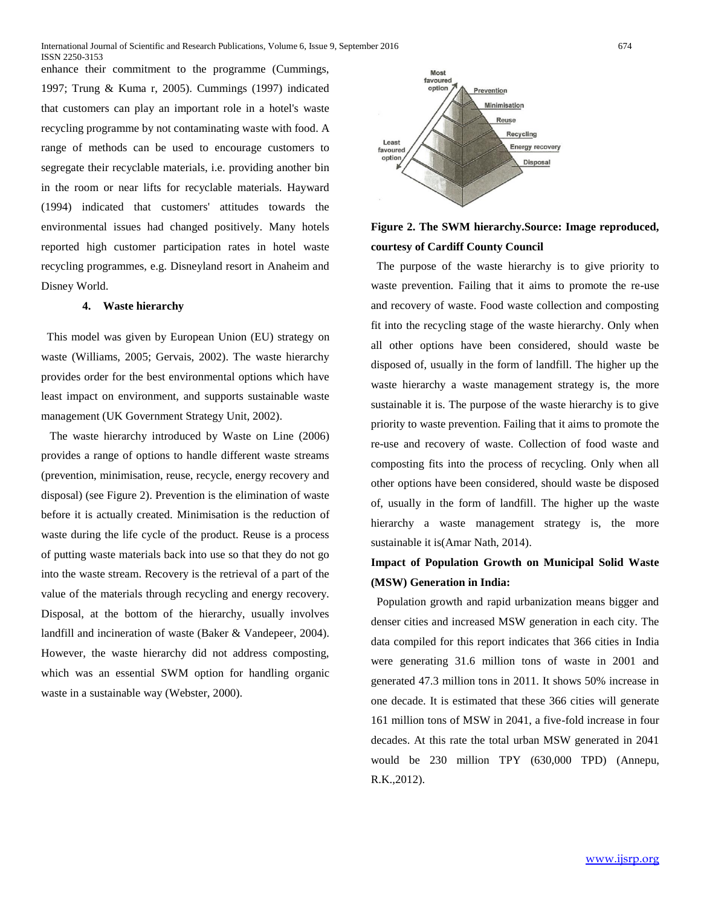enhance their commitment to the programme (Cummings, 1997; Trung & Kuma r, 2005). Cummings (1997) indicated that customers can play an important role in a hotel's waste recycling programme by not contaminating waste with food. A range of methods can be used to encourage customers to segregate their recyclable materials, i.e. providing another bin in the room or near lifts for recyclable materials. Hayward (1994) indicated that customers' attitudes towards the environmental issues had changed positively. Many hotels reported high customer participation rates in hotel waste recycling programmes, e.g. Disneyland resort in Anaheim and Disney World.

### **4. Waste hierarchy**

 This model was given by European Union (EU) strategy on waste (Williams, 2005; Gervais, 2002). The waste hierarchy provides order for the best environmental options which have least impact on environment, and supports sustainable waste management (UK Government Strategy Unit, 2002).

 The waste hierarchy introduced by Waste on Line (2006) provides a range of options to handle different waste streams (prevention, minimisation, reuse, recycle, energy recovery and disposal) (see Figure 2). Prevention is the elimination of waste before it is actually created. Minimisation is the reduction of waste during the life cycle of the product. Reuse is a process of putting waste materials back into use so that they do not go into the waste stream. Recovery is the retrieval of a part of the value of the materials through recycling and energy recovery. Disposal, at the bottom of the hierarchy, usually involves landfill and incineration of waste (Baker & Vandepeer, 2004). However, the waste hierarchy did not address composting, which was an essential SWM option for handling organic waste in a sustainable way (Webster, 2000).



# **Figure 2. The SWM hierarchy.Source: Image reproduced, courtesy of Cardiff County Council**

 The purpose of the waste hierarchy is to give priority to waste prevention. Failing that it aims to promote the re-use and recovery of waste. Food waste collection and composting fit into the recycling stage of the waste hierarchy. Only when all other options have been considered, should waste be disposed of, usually in the form of landfill. The higher up the waste hierarchy a waste management strategy is, the more sustainable it is. The purpose of the waste hierarchy is to give priority to waste prevention. Failing that it aims to promote the re-use and recovery of waste. Collection of food waste and composting fits into the process of recycling. Only when all other options have been considered, should waste be disposed of, usually in the form of landfill. The higher up the waste hierarchy a waste management strategy is, the more sustainable it is(Amar Nath, 2014).

# **Impact of Population Growth on Municipal Solid Waste (MSW) Generation in India:**

 Population growth and rapid urbanization means bigger and denser cities and increased MSW generation in each city. The data compiled for this report indicates that 366 cities in India were generating 31.6 million tons of waste in 2001 and generated 47.3 million tons in 2011. It shows 50% increase in one decade. It is estimated that these 366 cities will generate 161 million tons of MSW in 2041, a five-fold increase in four decades. At this rate the total urban MSW generated in 2041 would be 230 million TPY (630,000 TPD) (Annepu, R.K.,2012).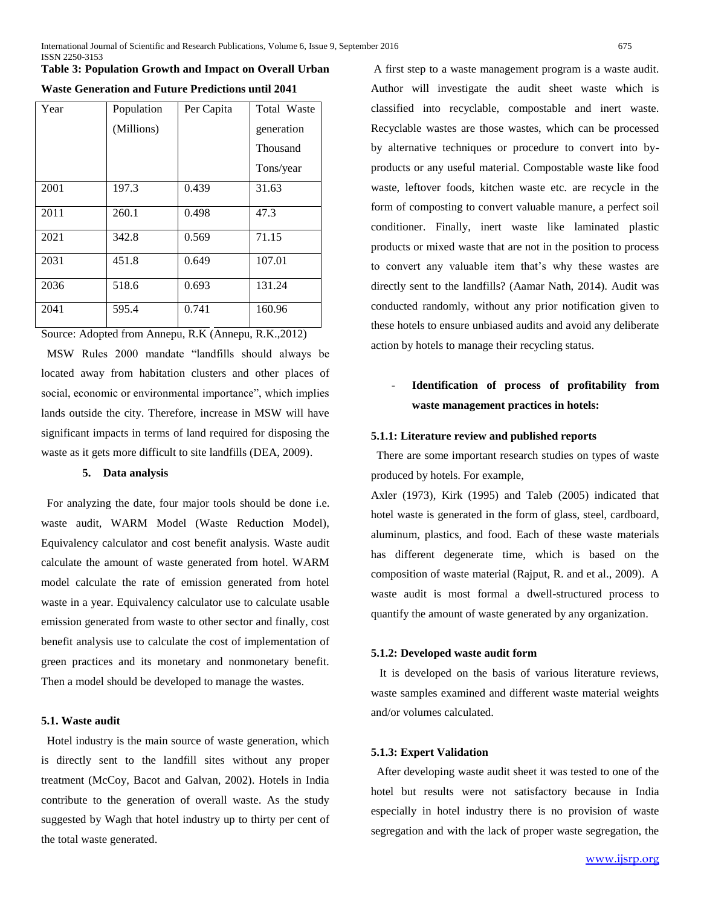# **Table 3: Population Growth and Impact on Overall Urban**

| Year | Population | Per Capita | Total Waste |
|------|------------|------------|-------------|
|      | (Millions) |            | generation  |
|      |            |            | Thousand    |
|      |            |            | Tons/year   |
| 2001 | 197.3      | 0.439      | 31.63       |
| 2011 | 260.1      | 0.498      | 47.3        |
| 2021 | 342.8      | 0.569      | 71.15       |
| 2031 | 451.8      | 0.649      | 107.01      |
| 2036 | 518.6      | 0.693      | 131.24      |
| 2041 | 595.4      | 0.741      | 160.96      |

**Waste Generation and Future Predictions until 2041**

Source: Adopted from Annepu, R.K (Annepu, R.K.,2012)

 MSW Rules 2000 mandate "landfills should always be located away from habitation clusters and other places of social, economic or environmental importance", which implies lands outside the city. Therefore, increase in MSW will have significant impacts in terms of land required for disposing the waste as it gets more difficult to site landfills (DEA, 2009).

### **5. Data analysis**

 For analyzing the date, four major tools should be done i.e. waste audit, WARM Model (Waste Reduction Model), Equivalency calculator and cost benefit analysis. Waste audit calculate the amount of waste generated from hotel. WARM model calculate the rate of emission generated from hotel waste in a year. Equivalency calculator use to calculate usable emission generated from waste to other sector and finally, cost benefit analysis use to calculate the cost of implementation of green practices and its monetary and nonmonetary benefit. Then a model should be developed to manage the wastes.

### **5.1. Waste audit**

 Hotel industry is the main source of waste generation, which is directly sent to the landfill sites without any proper treatment (McCoy, Bacot and Galvan, 2002). Hotels in India contribute to the generation of overall waste. As the study suggested by Wagh that hotel industry up to thirty per cent of the total waste generated.

A first step to a waste management program is a waste audit. Author will investigate the audit sheet waste which is classified into recyclable, compostable and inert waste. Recyclable wastes are those wastes, which can be processed by alternative techniques or procedure to convert into byproducts or any useful material. Compostable waste like food waste, leftover foods, kitchen waste etc. are recycle in the form of composting to convert valuable manure, a perfect soil conditioner. Finally, inert waste like laminated plastic products or mixed waste that are not in the position to process to convert any valuable item that's why these wastes are directly sent to the landfills? (Aamar Nath, 2014). Audit was conducted randomly, without any prior notification given to these hotels to ensure unbiased audits and avoid any deliberate action by hotels to manage their recycling status.

# - **Identification of process of profitability from waste management practices in hotels:**

#### **5.1.1: Literature review and published reports**

 There are some important research studies on types of waste produced by hotels. For example,

Axler (1973), Kirk (1995) and Taleb (2005) indicated that hotel waste is generated in the form of glass, steel, cardboard, aluminum, plastics, and food. Each of these waste materials has different degenerate time, which is based on the composition of waste material (Rajput, R. and et al., 2009). A waste audit is most formal a dwell-structured process to quantify the amount of waste generated by any organization.

#### **5.1.2: Developed waste audit form**

 It is developed on the basis of various literature reviews, waste samples examined and different waste material weights and/or volumes calculated.

#### **5.1.3: Expert Validation**

 After developing waste audit sheet it was tested to one of the hotel but results were not satisfactory because in India especially in hotel industry there is no provision of waste segregation and with the lack of proper waste segregation, the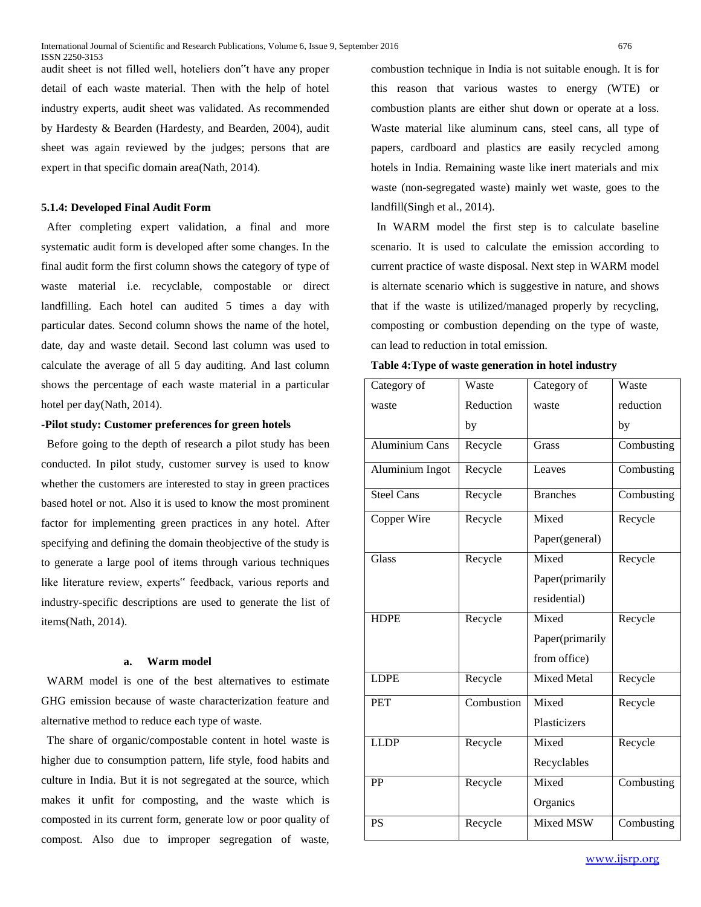audit sheet is not filled well, hoteliers don"t have any proper detail of each waste material. Then with the help of hotel industry experts, audit sheet was validated. As recommended by Hardesty & Bearden (Hardesty, and Bearden, 2004), audit sheet was again reviewed by the judges; persons that are expert in that specific domain area(Nath, 2014).

#### **5.1.4: Developed Final Audit Form**

 After completing expert validation, a final and more systematic audit form is developed after some changes. In the final audit form the first column shows the category of type of waste material i.e. recyclable, compostable or direct landfilling. Each hotel can audited 5 times a day with particular dates. Second column shows the name of the hotel, date, day and waste detail. Second last column was used to calculate the average of all 5 day auditing. And last column shows the percentage of each waste material in a particular hotel per day(Nath, 2014).

# **-Pilot study: Customer preferences for green hotels**

 Before going to the depth of research a pilot study has been conducted. In pilot study, customer survey is used to know whether the customers are interested to stay in green practices based hotel or not. Also it is used to know the most prominent factor for implementing green practices in any hotel. After specifying and defining the domain theobjective of the study is to generate a large pool of items through various techniques like literature review, experts" feedback, various reports and industry-specific descriptions are used to generate the list of items(Nath, 2014).

#### **a. Warm model**

 WARM model is one of the best alternatives to estimate GHG emission because of waste characterization feature and alternative method to reduce each type of waste.

 The share of organic/compostable content in hotel waste is higher due to consumption pattern, life style, food habits and culture in India. But it is not segregated at the source, which makes it unfit for composting, and the waste which is composted in its current form, generate low or poor quality of compost. Also due to improper segregation of waste,

combustion technique in India is not suitable enough. It is for this reason that various wastes to energy (WTE) or combustion plants are either shut down or operate at a loss. Waste material like aluminum cans, steel cans, all type of papers, cardboard and plastics are easily recycled among hotels in India. Remaining waste like inert materials and mix waste (non-segregated waste) mainly wet waste, goes to the landfill(Singh et al., 2014).

 In WARM model the first step is to calculate baseline scenario. It is used to calculate the emission according to current practice of waste disposal. Next step in WARM model is alternate scenario which is suggestive in nature, and shows that if the waste is utilized/managed properly by recycling, composting or combustion depending on the type of waste, can lead to reduction in total emission.

|  | Table 4: Type of waste generation in hotel industry |  |  |
|--|-----------------------------------------------------|--|--|
|  |                                                     |  |  |

| Category of           | Waste      | Category of        | Waste      |
|-----------------------|------------|--------------------|------------|
| waste                 | Reduction  | waste              | reduction  |
|                       | by         |                    | by         |
| <b>Aluminium Cans</b> | Recycle    | Grass              | Combusting |
| Aluminium Ingot       | Recycle    | Leaves             | Combusting |
| <b>Steel Cans</b>     | Recycle    | <b>Branches</b>    | Combusting |
| Copper Wire           | Recycle    | Mixed              | Recycle    |
|                       |            | Paper(general)     |            |
| Glass                 | Recycle    | Mixed              | Recycle    |
|                       |            | Paper(primarily    |            |
|                       |            | residential)       |            |
| <b>HDPE</b>           | Recycle    | Mixed              | Recycle    |
|                       |            | Paper(primarily    |            |
|                       |            | from office)       |            |
| <b>LDPE</b>           | Recycle    | <b>Mixed Metal</b> | Recycle    |
| PET                   | Combustion | Mixed              | Recycle    |
|                       |            | Plasticizers       |            |
| <b>LLDP</b>           | Recycle    | Mixed              | Recycle    |
|                       |            | Recyclables        |            |
| PP                    | Recycle    | Mixed              | Combusting |
|                       |            | Organics           |            |
| <b>PS</b>             | Recycle    | Mixed MSW          | Combusting |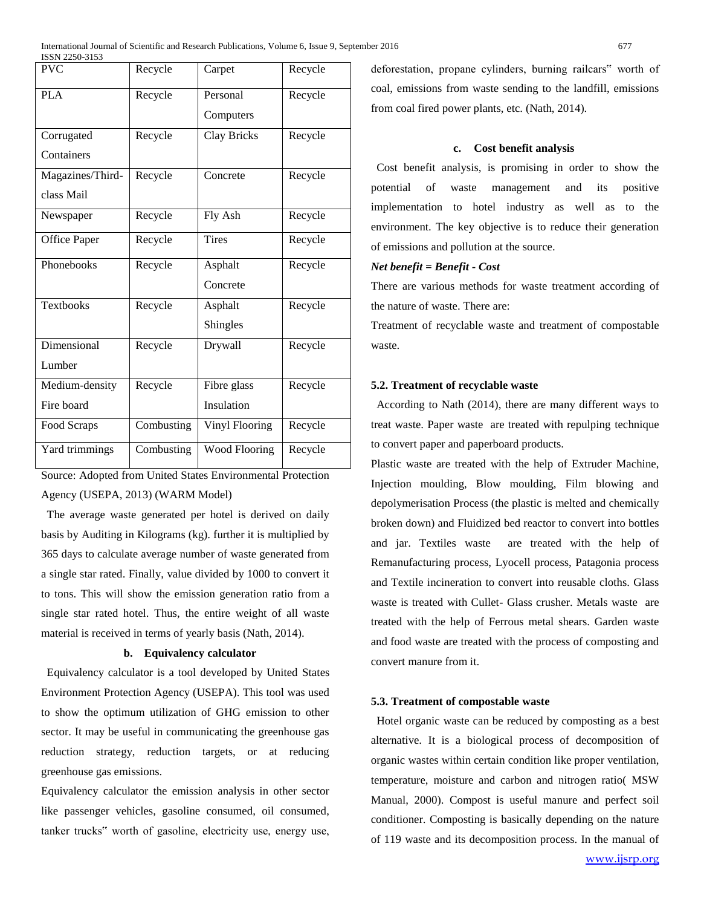| <b>PVC</b>       | Recycle    | Carpet                | Recycle |
|------------------|------------|-----------------------|---------|
| <b>PLA</b>       | Recycle    | Personal              | Recycle |
|                  |            | Computers             |         |
| Corrugated       | Recycle    | <b>Clay Bricks</b>    | Recycle |
| Containers       |            |                       |         |
| Magazines/Third- | Recycle    | Concrete              | Recycle |
| class Mail       |            |                       |         |
| Newspaper        | Recycle    | Fly Ash               | Recycle |
| Office Paper     | Recycle    | <b>Tires</b>          | Recycle |
| Phonebooks       | Recycle    | Asphalt               | Recycle |
|                  |            | Concrete              |         |
| <b>Textbooks</b> | Recycle    | Asphalt               | Recycle |
|                  |            | Shingles              |         |
| Dimensional      | Recycle    | Drywall               | Recycle |
| Lumber           |            |                       |         |
| Medium-density   | Recycle    | Fibre glass           | Recycle |
| Fire board       |            | Insulation            |         |
| Food Scraps      | Combusting | <b>Vinyl Flooring</b> | Recycle |
| Yard trimmings   | Combusting | <b>Wood Flooring</b>  | Recycle |

Source: Adopted from United States Environmental Protection Agency (USEPA, 2013) (WARM Model)

 The average waste generated per hotel is derived on daily basis by Auditing in Kilograms (kg). further it is multiplied by 365 days to calculate average number of waste generated from a single star rated. Finally, value divided by 1000 to convert it to tons. This will show the emission generation ratio from a single star rated hotel. Thus, the entire weight of all waste material is received in terms of yearly basis (Nath, 2014).

#### **b. Equivalency calculator**

 Equivalency calculator is a tool developed by United States Environment Protection Agency (USEPA). This tool was used to show the optimum utilization of GHG emission to other sector. It may be useful in communicating the greenhouse gas reduction strategy, reduction targets, or at reducing greenhouse gas emissions.

Equivalency calculator the emission analysis in other sector like passenger vehicles, gasoline consumed, oil consumed, tanker trucks" worth of gasoline, electricity use, energy use,

deforestation, propane cylinders, burning railcars" worth of coal, emissions from waste sending to the landfill, emissions from coal fired power plants, etc. (Nath, 2014).

#### **c. Cost benefit analysis**

 Cost benefit analysis, is promising in order to show the potential of waste management and its positive implementation to hotel industry as well as to the environment. The key objective is to reduce their generation of emissions and pollution at the source.

#### *Net benefit = Benefit - Cost*

There are various methods for waste treatment according of the nature of waste. There are:

Treatment of recyclable waste and treatment of compostable waste.

#### **5.2. Treatment of recyclable waste**

 According to Nath (2014), there are many different ways to treat waste. Paper waste are treated with repulping technique to convert paper and paperboard products.

Plastic waste are treated with the help of Extruder Machine, Injection moulding, Blow moulding, Film blowing and depolymerisation Process (the plastic is melted and chemically broken down) and Fluidized bed reactor to convert into bottles and jar. Textiles waste are treated with the help of Remanufacturing process, Lyocell process, Patagonia process and Textile incineration to convert into reusable cloths. Glass waste is treated with Cullet- Glass crusher. Metals waste are treated with the help of Ferrous metal shears. Garden waste and food waste are treated with the process of composting and convert manure from it.

#### **5.3. Treatment of compostable waste**

 Hotel organic waste can be reduced by composting as a best alternative. It is a biological process of decomposition of organic wastes within certain condition like proper ventilation, temperature, moisture and carbon and nitrogen ratio( MSW Manual, 2000). Compost is useful manure and perfect soil conditioner. Composting is basically depending on the nature of 119 waste and its decomposition process. In the manual of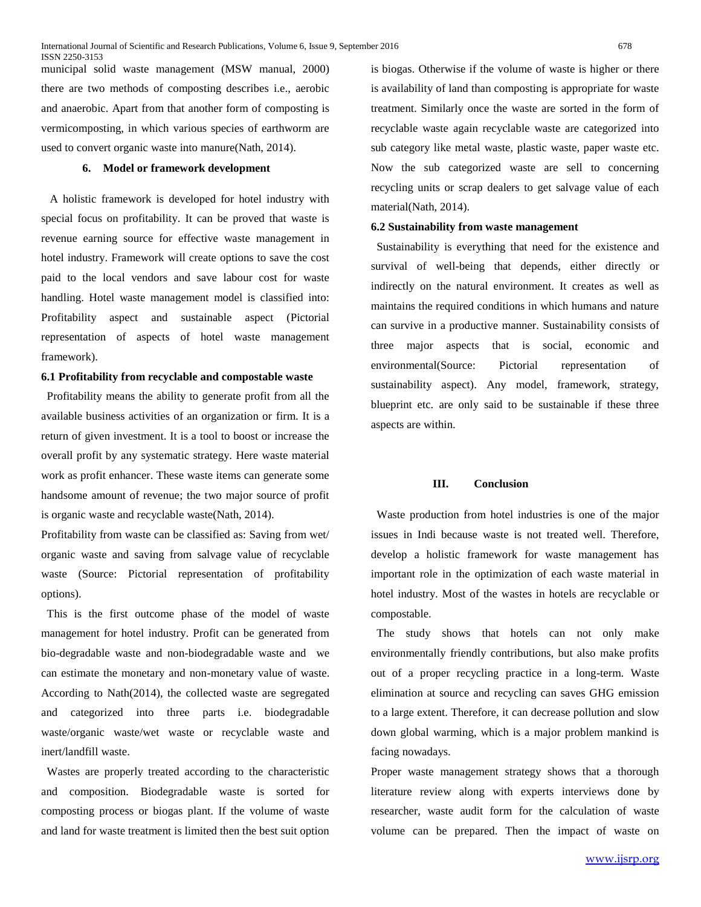municipal solid waste management (MSW manual, 2000) there are two methods of composting describes i.e., aerobic and anaerobic. Apart from that another form of composting is vermicomposting, in which various species of earthworm are used to convert organic waste into manure(Nath, 2014).

#### **6. Model or framework development**

 A holistic framework is developed for hotel industry with special focus on profitability. It can be proved that waste is revenue earning source for effective waste management in hotel industry. Framework will create options to save the cost paid to the local vendors and save labour cost for waste handling. Hotel waste management model is classified into: Profitability aspect and sustainable aspect (Pictorial representation of aspects of hotel waste management framework).

# **6.1 Profitability from recyclable and compostable waste**

 Profitability means the ability to generate profit from all the available business activities of an organization or firm. It is a return of given investment. It is a tool to boost or increase the overall profit by any systematic strategy. Here waste material work as profit enhancer. These waste items can generate some handsome amount of revenue; the two major source of profit is organic waste and recyclable waste(Nath, 2014).

Profitability from waste can be classified as: Saving from wet/ organic waste and saving from salvage value of recyclable waste (Source: Pictorial representation of profitability options).

 This is the first outcome phase of the model of waste management for hotel industry. Profit can be generated from bio-degradable waste and non-biodegradable waste and we can estimate the monetary and non-monetary value of waste. According to Nath(2014), the collected waste are segregated and categorized into three parts i.e. biodegradable waste/organic waste/wet waste or recyclable waste and inert/landfill waste.

 Wastes are properly treated according to the characteristic and composition. Biodegradable waste is sorted for composting process or biogas plant. If the volume of waste and land for waste treatment is limited then the best suit option is biogas. Otherwise if the volume of waste is higher or there is availability of land than composting is appropriate for waste treatment. Similarly once the waste are sorted in the form of recyclable waste again recyclable waste are categorized into sub category like metal waste, plastic waste, paper waste etc. Now the sub categorized waste are sell to concerning recycling units or scrap dealers to get salvage value of each material(Nath, 2014).

### **6.2 Sustainability from waste management**

 Sustainability is everything that need for the existence and survival of well-being that depends, either directly or indirectly on the natural environment. It creates as well as maintains the required conditions in which humans and nature can survive in a productive manner. Sustainability consists of three major aspects that is social, economic and environmental(Source: Pictorial representation of sustainability aspect). Any model, framework, strategy, blueprint etc. are only said to be sustainable if these three aspects are within.

#### **III. Conclusion**

 Waste production from hotel industries is one of the major issues in Indi because waste is not treated well. Therefore, develop a holistic framework for waste management has important role in the optimization of each waste material in hotel industry. Most of the wastes in hotels are recyclable or compostable.

 The study shows that hotels can not only make environmentally friendly contributions, but also make profits out of a proper recycling practice in a long-term. Waste elimination at source and recycling can saves GHG emission to a large extent. Therefore, it can decrease pollution and slow down global warming, which is a major problem mankind is facing nowadays.

Proper waste management strategy shows that a thorough literature review along with experts interviews done by researcher, waste audit form for the calculation of waste volume can be prepared. Then the impact of waste on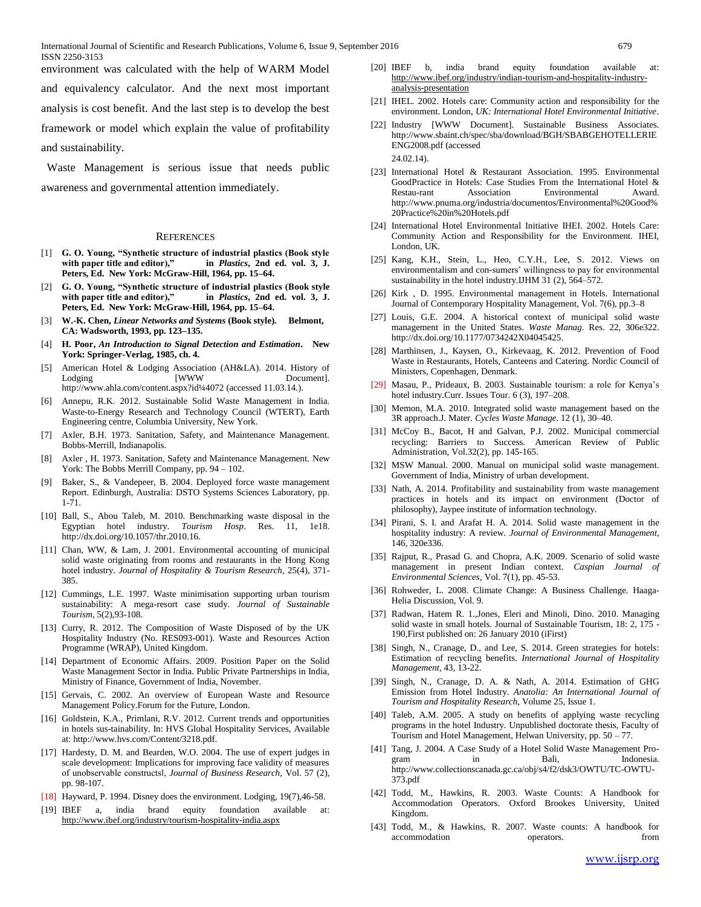environment was calculated with the help of WARM Model

and equivalency calculator. And the next most important analysis is cost benefit. And the last step is to develop the best framework or model which explain the value of profitability and sustainability.

 Waste Management is serious issue that needs public awareness and governmental attention immediately.

#### **REFERENCES**

- [1] **G. O. Young, "Synthetic structure of industrial plastics (Book style with paper title and editor)," in** *Plastics***, 2nd ed. vol. 3, J. Peters, Ed. New York: McGraw-Hill, 1964, pp. 15–64.**
- [2] **G. O. Young, "Synthetic structure of industrial plastics (Book style with paper title and editor)," in** *Plastics***, 2nd ed. vol. 3, J. Peters, Ed. New York: McGraw-Hill, 1964, pp. 15–64.**
- [3] **W.-K. Chen,** *Linear Networks and Systems* **(Book style)***.* **Belmont, CA: Wadsworth, 1993, pp. 123–135.**
- [4] **H. Poor,** *An Introduction to Signal Detection and Estimation***. New York: Springer-Verlag, 1985, ch. 4.**
- [5] American Hotel & Lodging Association (AH&LA). 2014. History of Lodging [WWW Document]. http://www.ahla.com/content.aspx?id¼4072 (accessed 11.03.14.).
- [6] Annepu, R.K. 2012. Sustainable Solid Waste Management in India. Waste-to-Energy Research and Technology Council (WTERT), Earth Engineering centre, Columbia University, New York.
- [7] Axler, B.H. 1973. Sanitation, Safety, and Maintenance Management. Bobbs-Merrill, Indianapolis.
- [8] Axler , H. 1973. Sanitation, Safety and Maintenance Management*.* New York: The Bobbs Merrill Company, pp. 94 – 102.
- [9] Baker, S., & Vandepeer, B. 2004. Deployed force waste management Report. Edinburgh, Australia: DSTO Systems Sciences Laboratory, pp. 1-71.
- [10] Ball, S., Abou Taleb, M. 2010. Benchmarking waste disposal in the Egyptian hotel industry. *Tourism Hosp*. Res. 11, 1e18. [http://dx.doi.org/10.1057/thr.2010.16.](http://dx.doi.org/10.1057/thr.2010.16)
- [11] Chan, WW, & Lam, J. 2001. Environmental accounting of municipal solid waste originating from rooms and restaurants in the Hong Kong hotel industry. *Journal of Hospitality & Tourism Research*, 25(4), 371- 385.
- [12] Cummings, L.E. 1997. Waste minimisation supporting urban tourism sustainability: A mega-resort case study. *Journal of Sustainable Tourism*, 5(2),93-108.
- [13] Curry, R. 2012. The Composition of Waste Disposed of by the UK Hospitality Industry (No. RES093-001). Waste and Resources Action Programme (WRAP), United Kingdom.
- [14] Department of Economic Affairs. 2009. Position Paper on the Solid Waste Management Sector in India. Public Private Partnerships in India, Ministry of Finance, Government of India, November.
- [15] Gervais, C. 2002. An overview of European Waste and Resource Management Policy.Forum for the Future, London.
- [16] Goldstein, K.A., Primlani, R.V. 2012. Current trends and opportunities in hotels sus-tainability. In: HVS Global Hospitality Services, Available at: http://www.hvs.com/Content/3218.pdf.
- [17] Hardesty, D. M. and Bearden, W.O. 2004. The use of expert judges in scale development: Implications for improving face validity of measures of unobservable constructs‖, *Journal of Business Research,* Vol. 57 (2), pp. 98-107.
- [18] Hayward, P. 1994. Disney does the environment. Lodging, 19(7),46-58.
- [19] IBEF a, india brand equity foundation available <http://www.ibef.org/industry/tourism-hospitality-india.aspx>
- [20] IBEF b, india brand equity foundation available at: [http://www.ibef.org/industry/indian-tourism-and-hospitality-industry](http://www.ibef.org/industry/indian-tourism-and-hospitality-industry-analysis-presentation)[analysis-presentation](http://www.ibef.org/industry/indian-tourism-and-hospitality-industry-analysis-presentation)
- [21] IHEL. 2002. Hotels care: Community action and responsibility for the environment. London, *UK: International Hotel Environmental Initiative*.
- [22] Industry [WWW Document]. Sustainable Business Associates. http://www.sbaint.ch/spec/sba/download/BGH/SBABGEHOTELLERIE ENG2008.pdf (accessed 24.02.14).
- [23] International Hotel & Restaurant Association. 1995. Environmental GoodPractice in Hotels: Case Studies From the International Hotel & Restau-rant Association Environmental Award. [http://www.pnuma.org/industria/documentos/Environmental%20Good%](http://www.pnuma.org/industria/documentos/Environmental%20Good%20Practice%20in%20Hotels.pdf) [20Practice%20in%20Hotels.pdf](http://www.pnuma.org/industria/documentos/Environmental%20Good%20Practice%20in%20Hotels.pdf)
- [24] International Hotel Environmental Initiative IHEI. 2002. Hotels Care: Community Action and Responsibility for the Environment. IHEI, London, UK.
- [25] Kang, K.H., Stein, L., Heo, C.Y.H., Lee, S. 2012. Views on environmentalism and con-sumers' willingness to pay for environmental sustainability in the hotel industry.IJHM 31 (2), 564–572.
- [26] Kirk , D. 1995. Environmental management in Hotels. International Journal of Contemporary Hospitality Management, Vol. 7(6), pp.3–8
- [27] Louis, G.E. 2004. A historical context of municipal solid waste management in the United States. *Waste Manag*. Res. 22, 306e322. http://dx.doi.org/10.1177/0734242X04045425.
- [28] Marthinsen, J., Kaysen, O., Kirkevaag, K. 2012. Prevention of Food Waste in Restaurants, Hotels, Canteens and Catering. Nordic Council of Ministers, Copenhagen, Denmark.
- [29] Masau, P., Prideaux, B. 2003. Sustainable tourism: a role for Kenya's hotel industry.Curr. Issues Tour. 6 (3), 197–208.
- [30] Memon, M.A. 2010. Integrated solid waste management based on the 3R approach.J. Mater. *Cycles Waste Manage.* 12 (1), 30–40.
- [31] McCoy B., Bacot, H and Galvan, P.J. 2002. Municipal commercial recycling: Barriers to Success*.* American Review of Public Administration, Vol.32(2), pp. 145-165.
- [32] MSW Manual. 2000. Manual on municipal solid waste management. Government of India, Ministry of urban development.
- [33] Nath, A. 2014. Profitability and sustainability from waste management practices in hotels and its impact on environment (Doctor of philosophy), Jaypee institute of information technology.
- [34] Pirani, S. I. and Arafat H. A. 2014. Solid waste management in the hospitality industry: A review. *Journal of Environmental Management,* 146, 320e336.
- [35] Rajput, R., Prasad G. and Chopra, A.K. 2009. Scenario of solid waste management in present Indian context. *Caspian Journal of Environmental Sciences*, Vol. 7(1), pp. 45-53.
- [36] Rohweder, L. 2008*.* Climate Change: A Business Challenge*.* Haaga-Helia Discussion, Vol. 9.
- [37] Radwan, Hatem R. 1.,Jones, Eleri and Minoli, Dino. 2010. Managing solid waste in small hotels. Journal of Sustainable Tourism, 18: 2, 175 - 190,First published on: 26 January 2010 (iFirst)
- [38] Singh, N., Cranage, D., and Lee, S. 2014. Green strategies for hotels: Estimation of recycling benefits. *International Journal of Hospitality Management,* 43, 13-22.
- [39] Singh, N., Cranage, D. A. & Nath, A. 2014. Estimation of GHG Emission from Hotel Industry. *Anatolia: An International Journal of Tourism and Hospitality Research*[, Volume 25,](http://www.tandfonline.com/loi/rana20?open=25#vol_25) [Issue 1.](http://www.tandfonline.com/toc/rana20/25/1)
- [40] Taleb, A.M. 2005. A study on benefits of applying waste recycling programs in the hotel Industry. Unpublished doctorate thesis, Faculty of Tourism and Hotel Management, Helwan University, pp. 50 – 77.
- [41] Tang, J. 2004. A Case Study of a Hotel Solid Waste Management Program in Bali, Indonesia. [http://www.collectionscanada.gc.ca/obj/s4/f2/dsk3/OWTU/TC-OWTU-](http://www.collectionscanada.gc.ca/obj/s4/f2/dsk3/OWTU/TC-OWTU-373.pdf)[373.pdf](http://www.collectionscanada.gc.ca/obj/s4/f2/dsk3/OWTU/TC-OWTU-373.pdf)
- [42] Todd, M., Hawkins, R. 2003. Waste Counts: A Handbook for Accommodation Operators. Oxford Brookes University, United Kingdom.
- [43] Todd, M., & Hawkins, R. 2007. Waste counts: A handbook for accommodation operators. The from